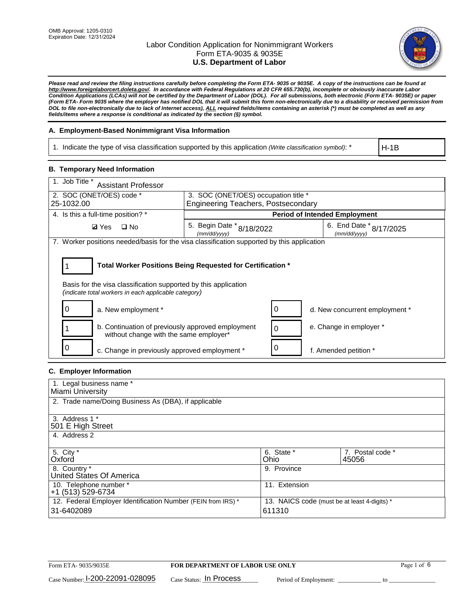

*Please read and review the filing instructions carefully before completing the Form ETA- 9035 or 9035E. A copy of the instructions can be found at [http://www.foreignlaborcert.doleta.gov/.](http://www.foreignlaborcert.doleta.gov/) In accordance with Federal Regulations at 20 CFR 655.730(b), incomplete or obviously inaccurate Labor Condition Applications (LCAs) will not be certified by the Department of Labor (DOL). For all submissions, both electronic (Form ETA- 9035E) or paper (Form ETA- Form 9035 where the employer has notified DOL that it will submit this form non-electronically due to a disability or received permission from DOL to file non-electronically due to lack of Internet access), ALL required fields/items containing an asterisk (\*) must be completed as well as any fields/items where a response is conditional as indicated by the section (§) symbol.* 

### **A. Employment-Based Nonimmigrant Visa Information**

1. Indicate the type of visa classification supported by this application *(Write classification symbol)*: \*

H-1B

### **B. Temporary Need Information**

| 1. Job Title *<br><b>Assistant Professor</b>                                                                            |                                            |          |                                         |  |
|-------------------------------------------------------------------------------------------------------------------------|--------------------------------------------|----------|-----------------------------------------|--|
| 2. SOC (ONET/OES) code *                                                                                                | 3. SOC (ONET/OES) occupation title *       |          |                                         |  |
| 25-1032.00                                                                                                              | <b>Engineering Teachers, Postsecondary</b> |          |                                         |  |
| 4. Is this a full-time position? *                                                                                      |                                            |          | <b>Period of Intended Employment</b>    |  |
| $\Box$ No<br><b>Ø</b> Yes                                                                                               | 5. Begin Date * 8/18/2022<br>(mm/dd/yyyy)  |          | 6. End Date * 8/17/2025<br>(mm/dd/yyyy) |  |
| 7. Worker positions needed/basis for the visa classification supported by this application                              |                                            |          |                                         |  |
|                                                                                                                         |                                            |          |                                         |  |
| Total Worker Positions Being Requested for Certification *                                                              |                                            |          |                                         |  |
| Basis for the visa classification supported by this application<br>(indicate total workers in each applicable category) |                                            |          |                                         |  |
| 0<br>a. New employment *                                                                                                |                                            | 0        | d. New concurrent employment *          |  |
| b. Continuation of previously approved employment<br>without change with the same employer*                             |                                            | $\Omega$ | e. Change in employer *                 |  |
| c. Change in previously approved employment *                                                                           |                                            | 0        | f. Amended petition *                   |  |

# **C. Employer Information**

| 1. Legal business name *                                     |                                              |                  |  |  |
|--------------------------------------------------------------|----------------------------------------------|------------------|--|--|
| Miami University                                             |                                              |                  |  |  |
| 2. Trade name/Doing Business As (DBA), if applicable         |                                              |                  |  |  |
|                                                              |                                              |                  |  |  |
| 3. Address 1 *                                               |                                              |                  |  |  |
| 501 E High Street                                            |                                              |                  |  |  |
| 4. Address 2                                                 |                                              |                  |  |  |
|                                                              |                                              |                  |  |  |
| 5. City *                                                    | 6. State *                                   | 7. Postal code * |  |  |
| Oxford                                                       | Ohio                                         | 45056            |  |  |
| 8. Country *                                                 | 9. Province                                  |                  |  |  |
| United States Of America                                     |                                              |                  |  |  |
| 10. Telephone number *                                       | 11. Extension                                |                  |  |  |
| +1 (513) 529-6734                                            |                                              |                  |  |  |
| 12. Federal Employer Identification Number (FEIN from IRS) * | 13. NAICS code (must be at least 4-digits) * |                  |  |  |
| 31-6402089                                                   | 611310                                       |                  |  |  |
|                                                              |                                              |                  |  |  |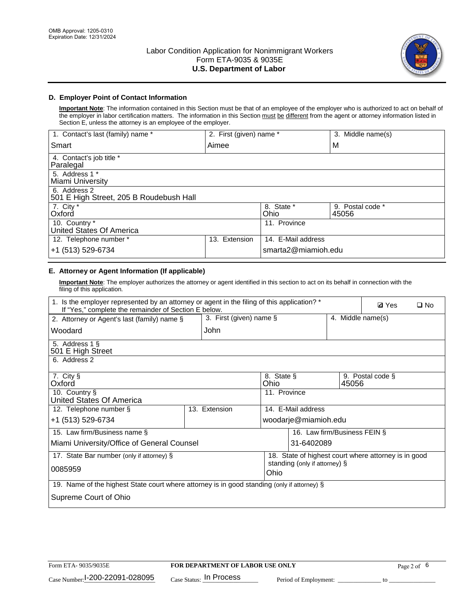

# **D. Employer Point of Contact Information**

**Important Note**: The information contained in this Section must be that of an employee of the employer who is authorized to act on behalf of the employer in labor certification matters. The information in this Section must be different from the agent or attorney information listed in Section E, unless the attorney is an employee of the employer.

| 1. Contact's last (family) name *                       | 2. First (given) name * |                     | 3. Middle name(s)         |
|---------------------------------------------------------|-------------------------|---------------------|---------------------------|
| Smart                                                   | Aimee                   |                     | M                         |
| 4. Contact's job title *<br>Paralegal                   |                         |                     |                           |
| 5. Address 1 *<br>Miami University                      |                         |                     |                           |
| 6. Address 2<br>501 E High Street, 205 B Roudebush Hall |                         |                     |                           |
| 7. City *<br>Oxford                                     |                         | 8. State *<br>Ohio  | 9. Postal code *<br>45056 |
| 10. Country *<br>United States Of America               |                         | 11. Province        |                           |
| 12. Telephone number *                                  | Extension<br>13.        | 14. E-Mail address  |                           |
| +1 (513) 529-6734                                       |                         | smarta2@miamioh.edu |                           |

# **E. Attorney or Agent Information (If applicable)**

**Important Note**: The employer authorizes the attorney or agent identified in this section to act on its behalf in connection with the filing of this application.

| 1. Is the employer represented by an attorney or agent in the filing of this application? *<br>If "Yes," complete the remainder of Section E below. |                         |                    |                                                      |       | <b>Ø</b> Yes      | $\Box$ No |
|-----------------------------------------------------------------------------------------------------------------------------------------------------|-------------------------|--------------------|------------------------------------------------------|-------|-------------------|-----------|
| 2. Attorney or Agent's last (family) name §                                                                                                         | 3. First (given) name § |                    |                                                      |       | 4. Middle name(s) |           |
| Woodard                                                                                                                                             | John                    |                    |                                                      |       |                   |           |
| 5. Address 1 §<br>501 E High Street                                                                                                                 |                         |                    |                                                      |       |                   |           |
| 6. Address 2                                                                                                                                        |                         |                    |                                                      |       |                   |           |
| 7. City §<br>Oxford                                                                                                                                 |                         | 8. State §<br>Ohio |                                                      | 45056 | 9. Postal code §  |           |
| 10. Country §<br>United States Of America                                                                                                           |                         | 11. Province       |                                                      |       |                   |           |
| 12. Telephone number §                                                                                                                              | 13. Extension           |                    | 14. E-Mail address                                   |       |                   |           |
| +1 (513) 529-6734                                                                                                                                   |                         |                    | woodarje@miamioh.edu                                 |       |                   |           |
| 15. Law firm/Business name §                                                                                                                        |                         |                    | 16. Law firm/Business FEIN §                         |       |                   |           |
| Miami University/Office of General Counsel                                                                                                          |                         |                    | 31-6402089                                           |       |                   |           |
| 17. State Bar number (only if attorney) §                                                                                                           |                         |                    | 18. State of highest court where attorney is in good |       |                   |           |
| 0085959                                                                                                                                             |                         | Ohio               | standing (only if attorney) §                        |       |                   |           |
| 19. Name of the highest State court where attorney is in good standing (only if attorney) §                                                         |                         |                    |                                                      |       |                   |           |
| Supreme Court of Ohio                                                                                                                               |                         |                    |                                                      |       |                   |           |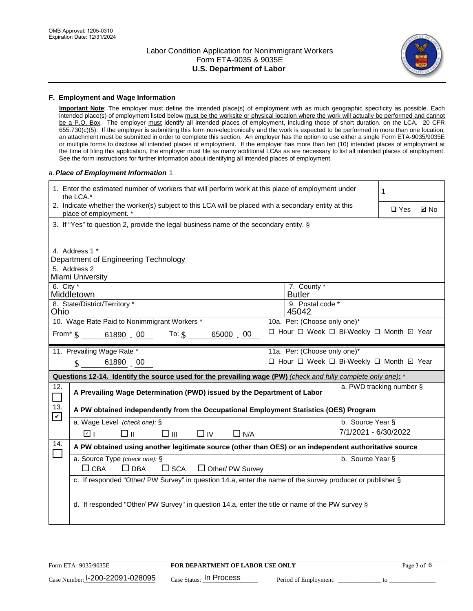

#### **F. Employment and Wage Information**

**Important Note**: The employer must define the intended place(s) of employment with as much geographic specificity as possible. Each intended place(s) of employment listed below must be the worksite or physical location where the work will actually be performed and cannot be a P.O. Box. The employer must identify all intended places of employment, including those of short duration, on the LCA. 20 CFR 655.730(c)(5). If the employer is submitting this form non-electronically and the work is expected to be performed in more than one location, an attachment must be submitted in order to complete this section. An employer has the option to use either a single Form ETA-9035/9035E or multiple forms to disclose all intended places of employment. If the employer has more than ten (10) intended places of employment at the time of filing this application, the employer must file as many additional LCAs as are necessary to list all intended places of employment. See the form instructions for further information about identifying all intended places of employment.

#### a.*Place of Employment Information* 1

| 1. Enter the estimated number of workers that will perform work at this place of employment under<br>the LCA.* |                                                                                                                                |  |                                          |                          | 1             |             |  |  |
|----------------------------------------------------------------------------------------------------------------|--------------------------------------------------------------------------------------------------------------------------------|--|------------------------------------------|--------------------------|---------------|-------------|--|--|
|                                                                                                                | 2. Indicate whether the worker(s) subject to this LCA will be placed with a secondary entity at this<br>place of employment. * |  |                                          |                          | $\square$ Yes | <b>Z</b> No |  |  |
|                                                                                                                | 3. If "Yes" to question 2, provide the legal business name of the secondary entity. §                                          |  |                                          |                          |               |             |  |  |
|                                                                                                                | 4. Address 1 *<br>Department of Engineering Technology                                                                         |  |                                          |                          |               |             |  |  |
|                                                                                                                | 5. Address 2<br>Miami University                                                                                               |  |                                          |                          |               |             |  |  |
| 6. City $*$                                                                                                    | Middletown                                                                                                                     |  | 7. County *<br><b>Butler</b>             |                          |               |             |  |  |
| Ohio                                                                                                           | 8. State/District/Territory *                                                                                                  |  | 9. Postal code *<br>45042                |                          |               |             |  |  |
|                                                                                                                | 10. Wage Rate Paid to Nonimmigrant Workers *                                                                                   |  | 10a. Per: (Choose only one)*             |                          |               |             |  |  |
|                                                                                                                | From $\frac{1}{5}$ 61890 00 To: $\frac{1}{5}$<br>65000 00                                                                      |  | □ Hour □ Week □ Bi-Weekly □ Month □ Year |                          |               |             |  |  |
|                                                                                                                | 11. Prevailing Wage Rate *                                                                                                     |  | 11a. Per: (Choose only one)*             |                          |               |             |  |  |
|                                                                                                                | $\sin 6189000$                                                                                                                 |  | □ Hour □ Week □ Bi-Weekly □ Month 回 Year |                          |               |             |  |  |
|                                                                                                                | Questions 12-14. Identify the source used for the prevailing wage (PW) (check and fully complete only one): *                  |  |                                          |                          |               |             |  |  |
| 12.<br>┓                                                                                                       | A Prevailing Wage Determination (PWD) issued by the Department of Labor                                                        |  |                                          | a. PWD tracking number § |               |             |  |  |
| 13.                                                                                                            | A PW obtained independently from the Occupational Employment Statistics (OES) Program                                          |  |                                          |                          |               |             |  |  |
| $\blacktriangledown$                                                                                           | a. Wage Level (check one): §                                                                                                   |  |                                          | b. Source Year §         |               |             |  |  |
|                                                                                                                | v <br>$\Box$ IV<br>□⊪<br>□⊪<br>$\Box$ N/A                                                                                      |  |                                          | 7/1/2021 - 6/30/2022     |               |             |  |  |
| 14.<br>$\Box$                                                                                                  | A PW obtained using another legitimate source (other than OES) or an independent authoritative source                          |  |                                          |                          |               |             |  |  |
|                                                                                                                | a. Source Type (check one): §<br>$\Box$ CBA<br>$\Box$ DBA<br>$\square$ SCA<br>$\Box$ Other/ PW Survey                          |  |                                          | b. Source Year §         |               |             |  |  |
|                                                                                                                | c. If responded "Other/ PW Survey" in question 14.a, enter the name of the survey producer or publisher §                      |  |                                          |                          |               |             |  |  |
|                                                                                                                | d. If responded "Other/ PW Survey" in question 14.a, enter the title or name of the PW survey §                                |  |                                          |                          |               |             |  |  |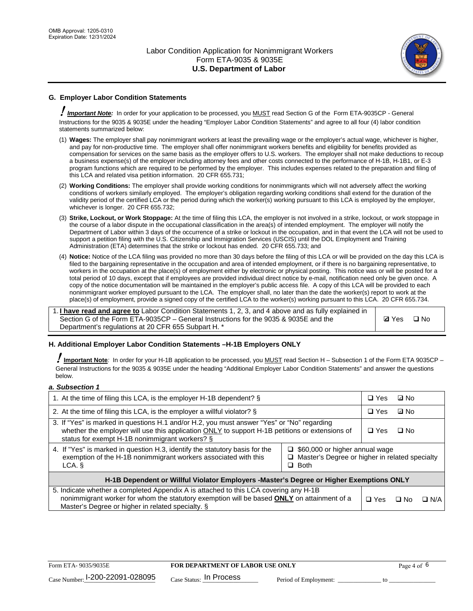

# **G. Employer Labor Condition Statements**

! *Important Note:* In order for your application to be processed, you MUST read Section G of the Form ETA-9035CP - General Instructions for the 9035 & 9035E under the heading "Employer Labor Condition Statements" and agree to all four (4) labor condition statements summarized below:

- (1) **Wages:** The employer shall pay nonimmigrant workers at least the prevailing wage or the employer's actual wage, whichever is higher, and pay for non-productive time. The employer shall offer nonimmigrant workers benefits and eligibility for benefits provided as compensation for services on the same basis as the employer offers to U.S. workers. The employer shall not make deductions to recoup a business expense(s) of the employer including attorney fees and other costs connected to the performance of H-1B, H-1B1, or E-3 program functions which are required to be performed by the employer. This includes expenses related to the preparation and filing of this LCA and related visa petition information. 20 CFR 655.731;
- (2) **Working Conditions:** The employer shall provide working conditions for nonimmigrants which will not adversely affect the working conditions of workers similarly employed. The employer's obligation regarding working conditions shall extend for the duration of the validity period of the certified LCA or the period during which the worker(s) working pursuant to this LCA is employed by the employer, whichever is longer. 20 CFR 655.732;
- (3) **Strike, Lockout, or Work Stoppage:** At the time of filing this LCA, the employer is not involved in a strike, lockout, or work stoppage in the course of a labor dispute in the occupational classification in the area(s) of intended employment. The employer will notify the Department of Labor within 3 days of the occurrence of a strike or lockout in the occupation, and in that event the LCA will not be used to support a petition filing with the U.S. Citizenship and Immigration Services (USCIS) until the DOL Employment and Training Administration (ETA) determines that the strike or lockout has ended. 20 CFR 655.733; and
- (4) **Notice:** Notice of the LCA filing was provided no more than 30 days before the filing of this LCA or will be provided on the day this LCA is filed to the bargaining representative in the occupation and area of intended employment, or if there is no bargaining representative, to workers in the occupation at the place(s) of employment either by electronic or physical posting. This notice was or will be posted for a total period of 10 days, except that if employees are provided individual direct notice by e-mail, notification need only be given once. A copy of the notice documentation will be maintained in the employer's public access file. A copy of this LCA will be provided to each nonimmigrant worker employed pursuant to the LCA. The employer shall, no later than the date the worker(s) report to work at the place(s) of employment, provide a signed copy of the certified LCA to the worker(s) working pursuant to this LCA. 20 CFR 655.734.

1. **I have read and agree to** Labor Condition Statements 1, 2, 3, and 4 above and as fully explained in Section G of the Form ETA-9035CP – General Instructions for the 9035 & 9035E and the Department's regulations at 20 CFR 655 Subpart H. \*

**Ø**Yes ロNo

### **H. Additional Employer Labor Condition Statements –H-1B Employers ONLY**

!**Important Note***:* In order for your H-1B application to be processed, you MUST read Section H – Subsection 1 of the Form ETA 9035CP – General Instructions for the 9035 & 9035E under the heading "Additional Employer Labor Condition Statements" and answer the questions below.

#### *a. Subsection 1*

| 1. At the time of filing this LCA, is the employer H-1B dependent? §                                                                                                                                                                                                 |  |            | ⊡ No |            |
|----------------------------------------------------------------------------------------------------------------------------------------------------------------------------------------------------------------------------------------------------------------------|--|------------|------|------------|
| 2. At the time of filing this LCA, is the employer a willful violator? $\S$                                                                                                                                                                                          |  |            | ⊡ No |            |
| 3. If "Yes" is marked in questions H.1 and/or H.2, you must answer "Yes" or "No" regarding<br>whether the employer will use this application ONLY to support H-1B petitions or extensions of<br>status for exempt H-1B nonimmigrant workers? §                       |  |            | ∩ No |            |
| 4. If "Yes" is marked in question H.3, identify the statutory basis for the<br>$\Box$ \$60,000 or higher annual wage<br>exemption of the H-1B nonimmigrant workers associated with this<br>□ Master's Degree or higher in related specialty<br>$\Box$ Both<br>LCA. § |  |            |      |            |
| H-1B Dependent or Willful Violator Employers -Master's Degree or Higher Exemptions ONLY                                                                                                                                                                              |  |            |      |            |
| 5. Indicate whether a completed Appendix A is attached to this LCA covering any H-1B<br>nonimmigrant worker for whom the statutory exemption will be based <b>ONLY</b> on attainment of a<br>Master's Degree or higher in related specialty. §                       |  | $\Box$ Yes | ⊡ No | $\Box$ N/A |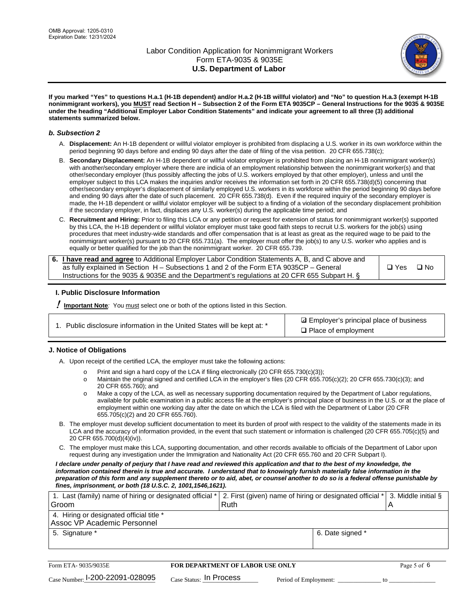

**If you marked "Yes" to questions H.a.1 (H-1B dependent) and/or H.a.2 (H-1B willful violator) and "No" to question H.a.3 (exempt H-1B nonimmigrant workers), you MUST read Section H – Subsection 2 of the Form ETA 9035CP – General Instructions for the 9035 & 9035E under the heading "Additional Employer Labor Condition Statements" and indicate your agreement to all three (3) additional statements summarized below.**

#### *b. Subsection 2*

- A. **Displacement:** An H-1B dependent or willful violator employer is prohibited from displacing a U.S. worker in its own workforce within the period beginning 90 days before and ending 90 days after the date of filing of the visa petition. 20 CFR 655.738(c);
- B. **Secondary Displacement:** An H-1B dependent or willful violator employer is prohibited from placing an H-1B nonimmigrant worker(s) with another/secondary employer where there are indicia of an employment relationship between the nonimmigrant worker(s) and that other/secondary employer (thus possibly affecting the jobs of U.S. workers employed by that other employer), unless and until the employer subject to this LCA makes the inquiries and/or receives the information set forth in 20 CFR 655.738(d)(5) concerning that other/secondary employer's displacement of similarly employed U.S. workers in its workforce within the period beginning 90 days before and ending 90 days after the date of such placement. 20 CFR 655.738(d). Even if the required inquiry of the secondary employer is made, the H-1B dependent or willful violator employer will be subject to a finding of a violation of the secondary displacement prohibition if the secondary employer, in fact, displaces any U.S. worker(s) during the applicable time period; and
- C. **Recruitment and Hiring:** Prior to filing this LCA or any petition or request for extension of status for nonimmigrant worker(s) supported by this LCA, the H-1B dependent or willful violator employer must take good faith steps to recruit U.S. workers for the job(s) using procedures that meet industry-wide standards and offer compensation that is at least as great as the required wage to be paid to the nonimmigrant worker(s) pursuant to 20 CFR 655.731(a). The employer must offer the job(s) to any U.S. worker who applies and is equally or better qualified for the job than the nonimmigrant worker. 20 CFR 655.739.

| 6. I have read and agree to Additional Employer Labor Condition Statements A, B, and C above and |       |           |
|--------------------------------------------------------------------------------------------------|-------|-----------|
| as fully explained in Section H – Subsections 1 and 2 of the Form ETA 9035CP – General           | □ Yes | $\Box$ No |
| Instructions for the 9035 & 9035 E and the Department's regulations at 20 CFR 655 Subpart H. §   |       |           |

### **I. Public Disclosure Information**

! **Important Note***:* You must select one or both of the options listed in this Section.

**sqrt** Employer's principal place of business □ Place of employment

### **J. Notice of Obligations**

A. Upon receipt of the certified LCA, the employer must take the following actions:

- o Print and sign a hard copy of the LCA if filing electronically (20 CFR 655.730(c)(3));<br>
Maintain the original signed and certified LCA in the employer's files (20 CFR 655.7
- Maintain the original signed and certified LCA in the employer's files (20 CFR 655.705(c)(2); 20 CFR 655.730(c)(3); and 20 CFR 655.760); and
- o Make a copy of the LCA, as well as necessary supporting documentation required by the Department of Labor regulations, available for public examination in a public access file at the employer's principal place of business in the U.S. or at the place of employment within one working day after the date on which the LCA is filed with the Department of Labor (20 CFR 655.705(c)(2) and 20 CFR 655.760).
- B. The employer must develop sufficient documentation to meet its burden of proof with respect to the validity of the statements made in its LCA and the accuracy of information provided, in the event that such statement or information is challenged (20 CFR 655.705(c)(5) and 20 CFR 655.700(d)(4)(iv)).
- C. The employer must make this LCA, supporting documentation, and other records available to officials of the Department of Labor upon request during any investigation under the Immigration and Nationality Act (20 CFR 655.760 and 20 CFR Subpart I).

*I declare under penalty of perjury that I have read and reviewed this application and that to the best of my knowledge, the*  information contained therein is true and accurate. I understand that to knowingly furnish materially false information in the *preparation of this form and any supplement thereto or to aid, abet, or counsel another to do so is a federal offense punishable by fines, imprisonment, or both (18 U.S.C. 2, 1001,1546,1621).*

| 1. Last (family) name of hiring or designated official * 2. First (given) name of hiring or designated official * 3. Middle initial § |  |
|---------------------------------------------------------------------------------------------------------------------------------------|--|
| Ruth                                                                                                                                  |  |
|                                                                                                                                       |  |
| 6. Date signed *                                                                                                                      |  |
|                                                                                                                                       |  |